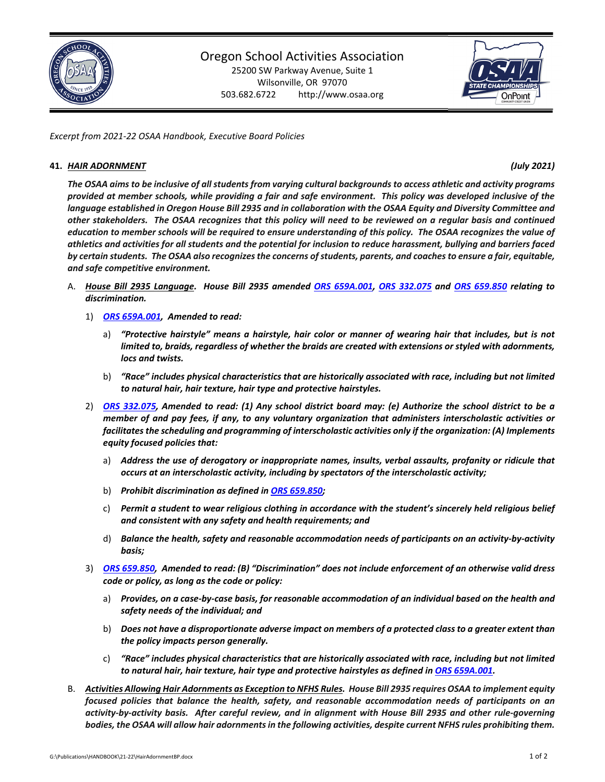

## Oregon School Activities Association

25200 SW Parkway Avenue, Suite 1 Wilsonville, OR 97070 503.682.6722 http://www.osaa.org



*Excerpt from 2021‐22 OSAA Handbook, Executive Board Policies*

## **41.** *HAIR ADORNMENT (July 2021)*

The OSAA aims to be inclusive of all students from varying cultural backgrounds to access athletic and activity programs provided at member schools, while providing a fair and safe environment. This policy was developed inclusive of the language established in Oregon House Bill 2935 and in collaboration with the OSAA Equity and Diversity Committee and other stakeholders. The OSAA recognizes that this policy will need to be reviewed on a regular basis and continued education to member schools will be required to ensure understanding of this policy. The OSAA recognizes the value of athletics and activities for all students and the potential for inclusion to reduce harassment, bullying and barriers faced by certain students. The OSAA also recognizes the concerns of students, parents, and coaches to ensure a fair, equitable, *and safe competitive environment.*

- A. House Bill 2935 Language. House Bill 2935 amended ORS [659A.001,](https://www.oregonlegislature.gov/bills_laws/Pages/Oregon-Laws.aspx) ORS 332.075 and ORS 659.850 relating to *discrimination.* 
	- 1) *ORS [659A.001,](https://www.oregonlegislature.gov/bills_laws/Pages/Oregon-Laws.aspx) Amended to read:*
		- a) "Protective hairstyle" means a hairstyle, hair color or manner of wearing hair that includes, but is not *limited to, braids, regardless of whether the braids are created with extensions or styled with adornments, locs and twists.*
		- b) *"Race" includes physical characteristics that are historically associated with race, including but not limited to natural hair, hair texture, hair type and protective hairstyles.*
	- 2) ORS [332.075,](https://www.oregonlegislature.gov/bills_laws/Pages/Oregon-Laws.aspx) Amended to read: (1) Any school district board may: (e) Authorize the school district to be a *member of and pay fees, if any, to any voluntary organization that administers interscholastic activities or facilitates the scheduling and programming of interscholastic activities only if the organization: (A) Implements equity focused policies that:*
		- a) *Address the use of derogatory or inappropriate names, insults, verbal assaults, profanity or ridicule that occurs at an interscholastic activity, including by spectators of the interscholastic activity;*
		- b) *Prohibit discrimination as defined in ORS [659.850;](https://www.oregonlegislature.gov/bills_laws/Pages/Oregon-Laws.aspx)*
		- c) *Permit a student to wear religious clothing in accordance with the student's sincerely held religious belief and consistent with any safety and health requirements; and*
		- d) Balance the health, safety and reasonable accommodation needs of participants on an activity-by-activity *basis;*
	- 3) ORS [659.850,](https://www.oregonlegislature.gov/bills_laws/Pages/Oregon-Laws.aspx) Amended to read: (B) "Discrimination" does not include enforcement of an otherwise valid dress *code or policy, as long as the code or policy:*
		- a) Provides, on a case-by-case basis, for reasonable accommodation of an individual based on the health and *safety needs of the individual; and*
		- b) Does not have a disproportionate adverse impact on members of a protected class to a greater extent than *the policy impacts person generally.*
		- c) *"Race" includes physical characteristics that are historically associated with race, including but not limited to natural hair, hair texture, hair type and protective hairstyles as defined in ORS [659A.001.](https://www.oregonlegislature.gov/bills_laws/Pages/Oregon-Laws.aspx)*
- B. Activities Allowing Hair Adornments as Exception to NFHS Rules. House Bill 2935 requires OSAA to implement equity *focused policies that balance the health, safety, and reasonable accommodation needs of participants on an* activity-by-activity basis. After careful review, and in alignment with House Bill 2935 and other rule-governing bodies, the OSAA will allow hair adornments in the following activities, despite current NFHS rules prohibiting them.